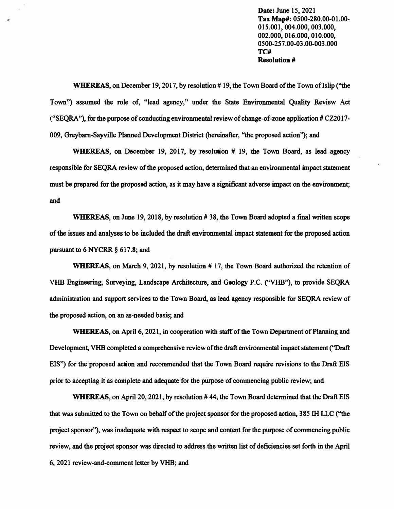**Date: June 15, 2021 Tax Map#: 0500-280.00-01.00- 015.001, 004.000, 003.000, 002.000, 016.000, 010.000, 0500-257 .00-03 .00-003 .000 TC# Resolution #** 

**WHEREAS, on December 19, 2017, by resolution # 19, the Town Board of the Town of Islip ("the Town") assumed the role of, "lead agency," under the State Environmental Quality Review Act ("SEQ RA"), for the purpose of conducting environmental review of change-of-zone application # CZ2017- 009, Greybarn-Sayville Planned Development District (hereinafter, ''the proposed action''); and** 

,

**WHEREAS, on December 19, 2017, by resolution # 19, the Town Board, as lead agency responsible for SEQRA review of the proposed action, determined that an environmental impact statement must be prepared for the proposed action, as it may have a significant adverse impact on the environment; and** 

**WHEREAS, on June 19, 2018, by resolution #38, the Town Board adopted a final written scope of the issues and analyses to be included the draft environmental impact statement for the proposed action pursuant to 6 NYCRR § 617 .8; and** 

**WHEREAS, on March 9, 2021, by resolution # 17, the Town Board authorized the retention of VHB Engineering, Surveying, Landscape Architecture, and Geology P.C. ("VHB"), to provide SEQRA administration and support services to the Town Board, as lead agency responsible for SEQRA review of the proposed action, on an as-needed basis; and** 

**WHEREAS, on April 6, 2021, in cooperation with staff of the Town Department of Planning and Development, VHB completed a comprehensive review of the draft environmental impact statement ("Draft EIS") for the proposed action and recommended that the Town Board require revisions to the Draft EIS prior to accepting it as complete and adequate for the purpose of commencing public review; and** 

**WHEREAS, on April 20, 2021, by resolution# 44, the Town Board determined that the Draft EIS that was submitted to the Town on behalf of the project sponsor for the proposed action, 385 1H LLC (''the project sponsor''), was inadequate with respect to scope and content for the purpose of commencing public review, and the project sponsor was directed to address the written list of deficiencies set forth in the April 6, 2021 review-and-comment letter by VHB; and**